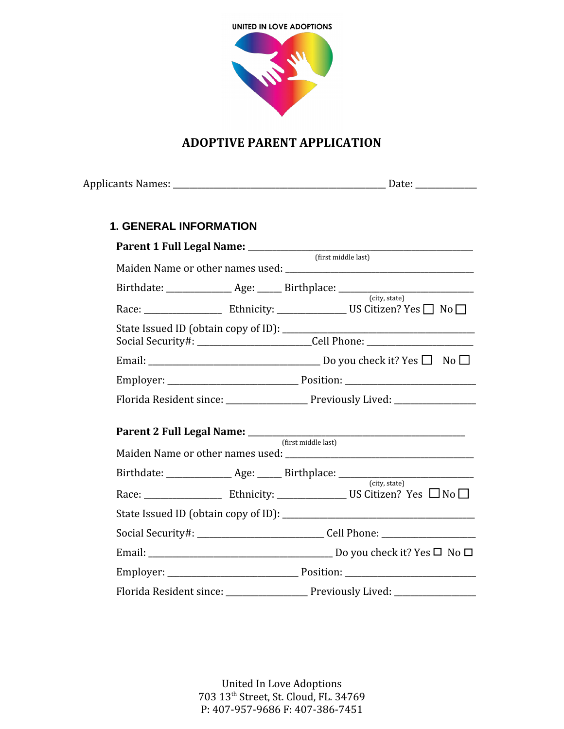

## **ADOPTIVE PARENT APPLICATION**

| <b>1. GENERAL INFORMATION</b> |                                                                                  |
|-------------------------------|----------------------------------------------------------------------------------|
|                               |                                                                                  |
|                               |                                                                                  |
|                               | Birthdate: _______________ Age: ______ Birthplace: _____________________________ |
|                               | (city, state)                                                                    |
|                               | Social Security#: __________________________Cell Phone: ________________________ |
|                               |                                                                                  |
|                               |                                                                                  |
|                               | Florida Resident since: ____________________ Previously Lived: _________________ |
|                               |                                                                                  |
|                               | Birthdate: _______________ Age: ______ Birthplace: _____________________________ |
|                               | (city, state)                                                                    |
|                               |                                                                                  |
|                               | Social Security#: _______________________________Cell Phone: ___________________ |
|                               |                                                                                  |
|                               |                                                                                  |
|                               | Florida Resident since: _____________________ Previously Lived: ________________ |

United In Love Adoptions 703 13th Street, St. Cloud, FL. 34769 P: 407-957-9686 F: 407-386-7451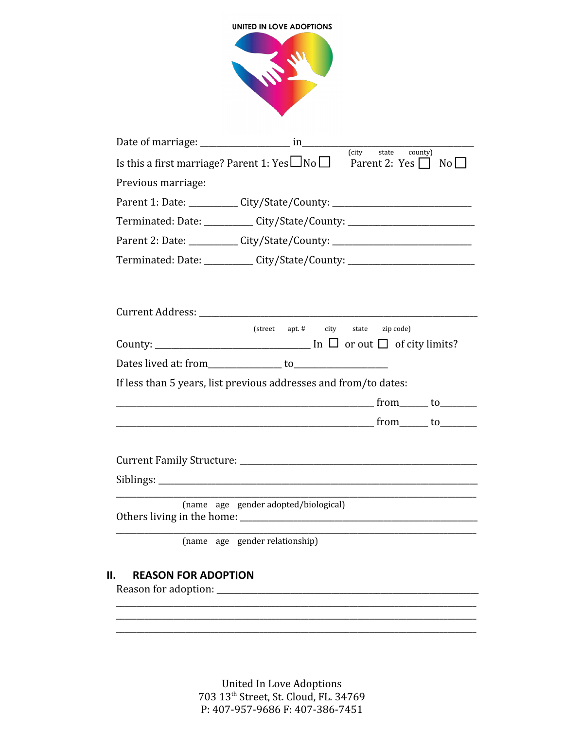|                    | Is this a first marriage? Parent 1: Yes $\Box$ No $\Box$ Parent 2: Yes $\Box$ No $\Box$ |         |  |
|--------------------|-----------------------------------------------------------------------------------------|---------|--|
| Previous marriage: |                                                                                         |         |  |
|                    | Parent 1: Date: ___________ City/State/County: _________________________________        |         |  |
|                    | Terminated: Date: __________ City/State/County: ________________________________        |         |  |
|                    | Parent 2: Date: __________ City/State/County: __________________________________        |         |  |
|                    | Terminated: Date: __________ City/State/County: ________________________________        |         |  |
|                    | (street apt. # city state zip code)                                                     |         |  |
|                    | If less than 5 years, list previous addresses and from/to dates:                        |         |  |
|                    |                                                                                         | from to |  |
|                    |                                                                                         |         |  |
|                    |                                                                                         |         |  |
|                    | (name age gender adopted/biological)                                                    |         |  |

United In Love Adoptions<br>703 13<sup>th</sup> Street, St. Cloud, FL. 34769<br>P: 407-957-9686 F: 407-386-7451